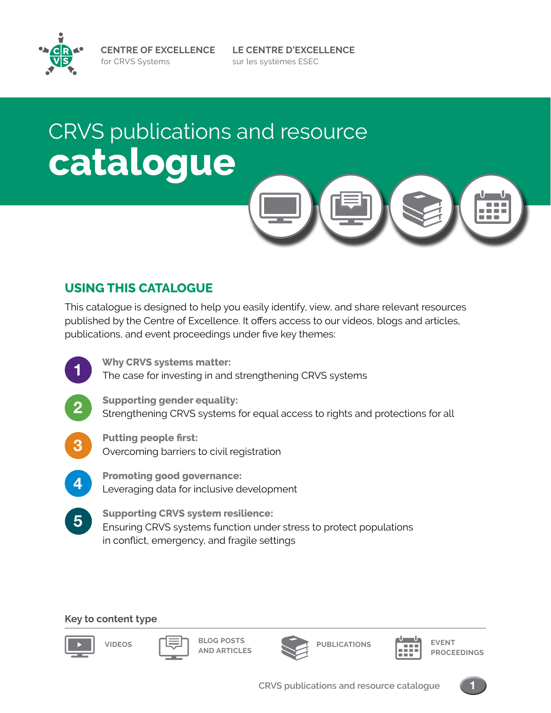**LE CENTRE D'EXCELLENCE** sur les systèmes ESEC

## CRVS publications and resource **catalogue**

#### **USING THIS CATALOGUE**

This catalogue is designed to help you easily identify, view, and share relevant resources published by the Centre of Excellence. It offers access to our videos, blogs and articles, publications, and event proceedings under five key themes:



#### **Key to content type**



**VIDEOS BLOG POSTS AND ARTICLES**



**PUBLICATIONS EVENT**



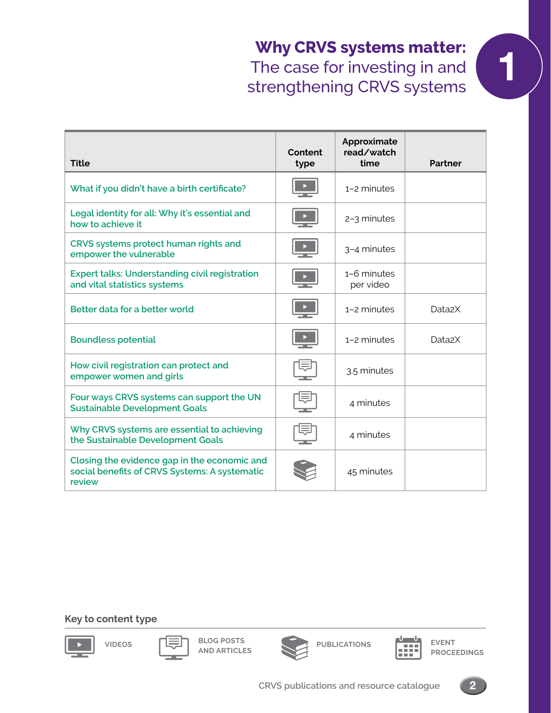### **Why CRVS systems matter:**<br>The case for investing in and<br>trengthening CDVS systems The case for investing in and strengthening CRVS systems

| <b>Title</b>                                                                                            | Content<br>type | Approximate<br>read/watch<br>time | <b>Partner</b>      |
|---------------------------------------------------------------------------------------------------------|-----------------|-----------------------------------|---------------------|
| What if you didn't have a birth certificate?                                                            |                 | 1-2 minutes                       |                     |
| Legal identity for all: Why it's essential and<br>how to achieve it                                     |                 | 2-3 minutes                       |                     |
| CRVS systems protect human rights and<br>empower the vulnerable                                         |                 | 3-4 minutes                       |                     |
| <b>Expert talks: Understanding civil registration</b><br>and vital statistics systems                   |                 | 1-6 minutes<br>per video          |                     |
| Better data for a better world                                                                          |                 | $1-2$ minutes                     | Data <sub>2</sub> X |
| <b>Boundless potential</b>                                                                              |                 | 1-2 minutes                       | Data <sub>2</sub> X |
| How civil registration can protect and<br>empower women and girls                                       |                 | 3.5 minutes                       |                     |
| Four ways CRVS systems can support the UN<br><b>Sustainable Development Goals</b>                       |                 | 4 minutes                         |                     |
| Why CRVS systems are essential to achieving<br>the Sustainable Development Goals                        |                 | 4 minutes                         |                     |
| Closing the evidence gap in the economic and<br>social benefits of CRVS Systems: A systematic<br>review |                 | 45 minutes                        |                     |

#### **Key to content type**



**VIDEOS BLOG POSTS AND ARTICLES**





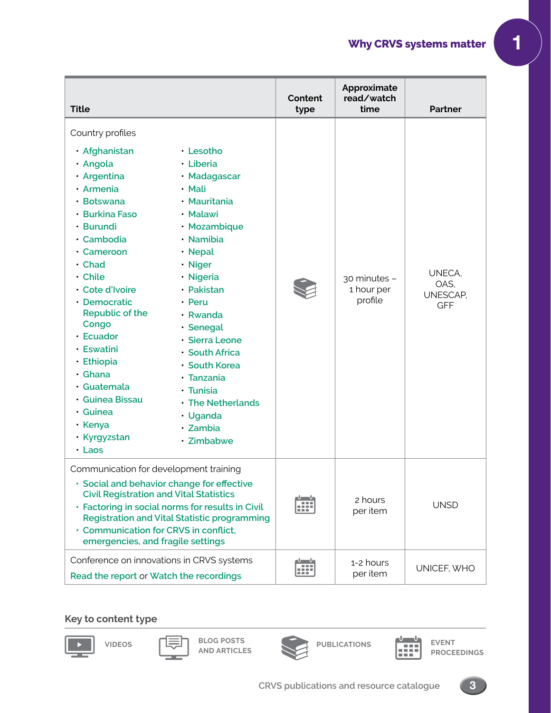### **Why CRVS systems matter 1**

| <b>Title</b>                                                                                                                                                                                                                                                                                                                                                                        |                                                                                                                                                                                                                                                                                                                                          | Content<br>type               | Approximate<br>read/watch<br>time     | <b>Partner</b>                           |
|-------------------------------------------------------------------------------------------------------------------------------------------------------------------------------------------------------------------------------------------------------------------------------------------------------------------------------------------------------------------------------------|------------------------------------------------------------------------------------------------------------------------------------------------------------------------------------------------------------------------------------------------------------------------------------------------------------------------------------------|-------------------------------|---------------------------------------|------------------------------------------|
| Country profiles<br>· Afghanistan<br>· Angola<br>· Argentina<br>· Armenia<br>· Botswana<br>• Burkina Faso<br>· Burundi<br>· Cambodia<br>• Cameroon<br>· Chad<br>• Chile<br>· Cote d'Ivoire<br>• Democratic<br>Republic of the<br>Congo<br>• Ecuador<br>· Eswatini<br>· Ethiopia<br>· Ghana<br>· Guatemala<br>· Guinea Bissau<br>· Guinea<br>• Kenya<br>· Kyrgyzstan<br>$\cdot$ Laos | · Lesotho<br>· Liberia<br>· Madagascar<br>· Mali<br>• Mauritania<br>• Malawi<br>· Mozambique<br>· Namibia<br>· Nepal<br>· Niger<br>· Nigeria<br>· Pakistan<br>• Peru<br>· Rwanda<br>· Senegal<br>· Sierra Leone<br>· South Africa<br>· South Korea<br>· Tanzania<br>· Tunisia<br>• The Netherlands<br>· Uganda<br>· Zambia<br>· Zimbabwe |                               | 30 minutes -<br>1 hour per<br>profile | UNECA,<br>OAS,<br>UNESCAP,<br><b>GFF</b> |
| Communication for development training<br>· Social and behavior change for effective<br><b>Civil Registration and Vital Statistics</b><br>· Factoring in social norms for results in Civil<br>· Communication for CRVS in conflict,<br>emergencies, and fragile settings                                                                                                            | <b>Registration and Vital Statistic programming</b>                                                                                                                                                                                                                                                                                      | $\frac{1}{1-\epsilon}$<br>:80 | 2 hours<br>per item                   | <b>UNSD</b>                              |
| Conference on innovations in CRVS systems<br>Read the report or Watch the recordings                                                                                                                                                                                                                                                                                                |                                                                                                                                                                                                                                                                                                                                          | -Մ Մ<br>æ<br>18 G             | 1-2 hours<br>per item                 | UNICEF, WHO                              |

#### **Key to content type**



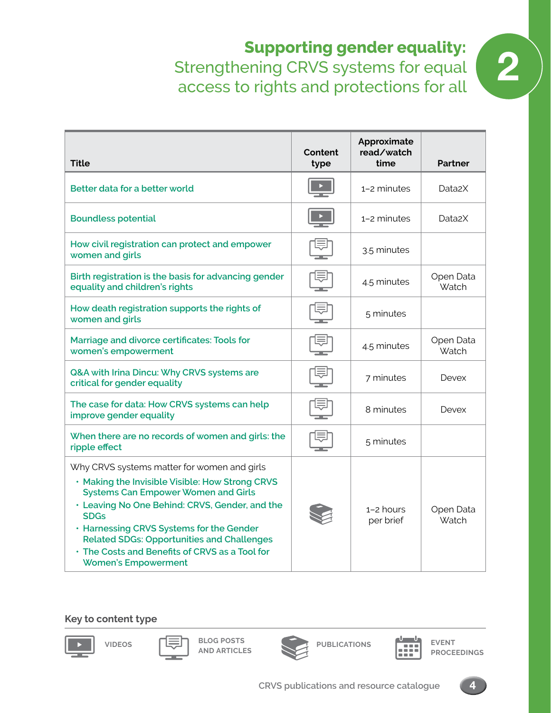## **Supporting gender equality:**<br>ening CRVS systems for equal<br>o rights and protections for all Strengthening CRVS systems for equal access to rights and protections for all

| <b>Title</b>                                                                                                                                                                                                                                                                                                                                                                                   | Content<br>type | Approximate<br>read/watch<br>time | <b>Partner</b>      |
|------------------------------------------------------------------------------------------------------------------------------------------------------------------------------------------------------------------------------------------------------------------------------------------------------------------------------------------------------------------------------------------------|-----------------|-----------------------------------|---------------------|
| Better data for a better world                                                                                                                                                                                                                                                                                                                                                                 |                 | 1-2 minutes                       | Data <sub>2</sub> X |
| <b>Boundless potential</b>                                                                                                                                                                                                                                                                                                                                                                     |                 | 1-2 minutes                       | Data <sub>2</sub> X |
| How civil registration can protect and empower<br>women and girls                                                                                                                                                                                                                                                                                                                              |                 | 3.5 minutes                       |                     |
| Birth registration is the basis for advancing gender<br>equality and children's rights                                                                                                                                                                                                                                                                                                         |                 | 4.5 minutes                       | Open Data<br>Watch  |
| How death registration supports the rights of<br>women and girls                                                                                                                                                                                                                                                                                                                               |                 | 5 minutes                         |                     |
| Marriage and divorce certificates: Tools for<br>women's empowerment                                                                                                                                                                                                                                                                                                                            |                 | 4.5 minutes                       | Open Data<br>Watch  |
| Q&A with Irina Dincu: Why CRVS systems are<br>critical for gender equality                                                                                                                                                                                                                                                                                                                     |                 | 7 minutes                         | <b>Devex</b>        |
| The case for data: How CRVS systems can help<br>improve gender equality                                                                                                                                                                                                                                                                                                                        |                 | 8 minutes                         | Devex               |
| When there are no records of women and girls: the<br>ripple effect                                                                                                                                                                                                                                                                                                                             |                 | 5 minutes                         |                     |
| Why CRVS systems matter for women and girls<br>. Making the Invisible Visible: How Strong CRVS<br><b>Systems Can Empower Women and Girls</b><br>• Leaving No One Behind: CRVS, Gender, and the<br><b>SDGs</b><br>. Harnessing CRVS Systems for the Gender<br><b>Related SDGs: Opportunities and Challenges</b><br>• The Costs and Benefits of CRVS as a Tool for<br><b>Women's Empowerment</b> |                 | $1 - 2$ hours<br>per brief        | Open Data<br>Watch  |

#### **Key to content type**

**VIDEOS BLOG POSTS AND ARTICLES**





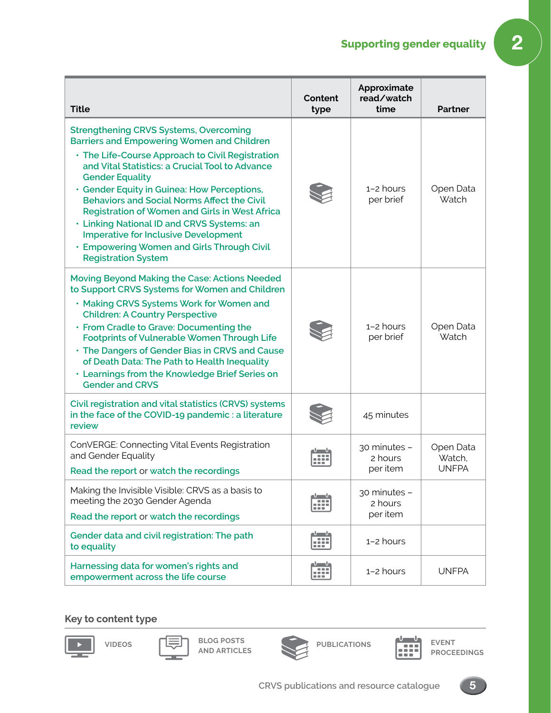## **Supporting gender equality** 2

| <b>Title</b>                                                                                                                                                                                                                                                                                                                                                                                                                                                                                                                                                                      | Content<br>type                                                        | Approximate<br>read/watch<br>time   | Partner                             |
|-----------------------------------------------------------------------------------------------------------------------------------------------------------------------------------------------------------------------------------------------------------------------------------------------------------------------------------------------------------------------------------------------------------------------------------------------------------------------------------------------------------------------------------------------------------------------------------|------------------------------------------------------------------------|-------------------------------------|-------------------------------------|
| <b>Strengthening CRVS Systems, Overcoming</b><br><b>Barriers and Empowering Women and Children</b><br>. The Life-Course Approach to Civil Registration<br>and Vital Statistics: a Crucial Tool to Advance<br><b>Gender Equality</b><br>· Gender Equity in Guinea: How Perceptions,<br><b>Behaviors and Social Norms Affect the Civil</b><br><b>Registration of Women and Girls in West Africa</b><br>· Linking National ID and CRVS Systems: an<br><b>Imperative for Inclusive Development</b><br><b>· Empowering Women and Girls Through Civil</b><br><b>Registration System</b> |                                                                        | $1-2$ hours<br>per brief            | Open Data<br>Watch                  |
| Moving Beyond Making the Case: Actions Needed<br>to Support CRVS Systems for Women and Children<br>. Making CRVS Systems Work for Women and<br><b>Children: A Country Perspective</b><br>• From Cradle to Grave: Documenting the<br><b>Footprints of Vulnerable Women Through Life</b><br>• The Dangers of Gender Bias in CRVS and Cause<br>of Death Data: The Path to Health Inequality<br>. Learnings from the Knowledge Brief Series on<br><b>Gender and CRVS</b>                                                                                                              |                                                                        | $1 - 2$ hours<br>per brief          | Open Data<br>Watch                  |
| Civil registration and vital statistics (CRVS) systems<br>in the face of the COVID-19 pandemic : a literature<br>review                                                                                                                                                                                                                                                                                                                                                                                                                                                           |                                                                        | 45 minutes                          |                                     |
| ConVERGE: Connecting Vital Events Registration<br>and Gender Equality<br>Read the report or watch the recordings                                                                                                                                                                                                                                                                                                                                                                                                                                                                  |                                                                        | 30 minutes -<br>2 hours<br>per item | Open Data<br>Watch.<br><b>UNFPA</b> |
| Making the Invisible Visible: CRVS as a basis to<br>meeting the 2030 Gender Agenda<br>Read the report or watch the recordings                                                                                                                                                                                                                                                                                                                                                                                                                                                     | Մ Մ<br>$\qquad \qquad \blacksquare \equiv \blacksquare$<br><b>SSST</b> | 30 minutes -<br>2 hours<br>per item |                                     |
| Gender data and civil registration: The path<br>to equality                                                                                                                                                                                                                                                                                                                                                                                                                                                                                                                       | ահան<br>æ                                                              | 1-2 hours                           |                                     |
| Harnessing data for women's rights and<br>empowerment across the life course                                                                                                                                                                                                                                                                                                                                                                                                                                                                                                      | $\mathbf{u} = \mathbf{u}$<br>HH.                                       | 1-2 hours                           | <b>UNFPA</b>                        |

#### **Key to content type**

х.



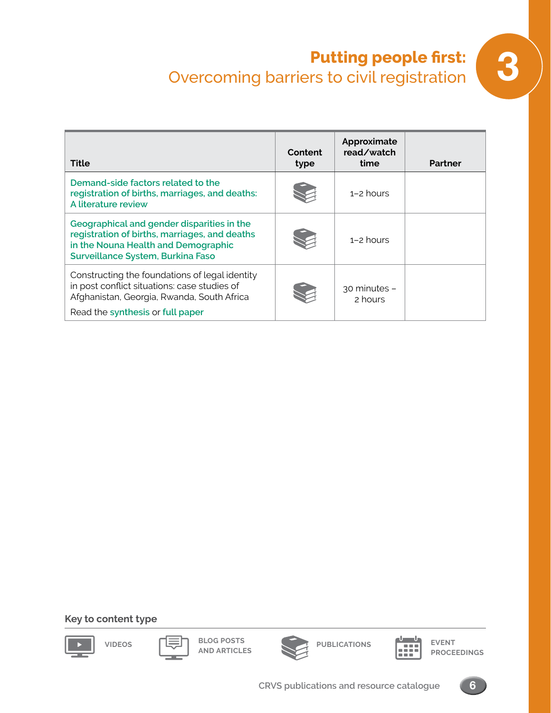# **Putting people first:**<br>Overcoming barriers to civil registration

| Title                                                                                                                                                                            | <b>Content</b><br>type | Approximate<br>read/watch<br>time | Partner |
|----------------------------------------------------------------------------------------------------------------------------------------------------------------------------------|------------------------|-----------------------------------|---------|
| Demand-side factors related to the<br>registration of births, marriages, and deaths:<br>A literature review                                                                      |                        | $1 - 2$ hours                     |         |
| Geographical and gender disparities in the<br>registration of births, marriages, and deaths<br>in the Nouna Health and Demographic<br>Surveillance System, Burkina Faso          |                        | $1 - 2$ hours                     |         |
| Constructing the foundations of legal identity<br>in post conflict situations: case studies of<br>Afghanistan, Georgia, Rwanda, South Africa<br>Read the synthesis or full paper |                        | 30 minutes -<br>2 hours           |         |

#### **Key to content type**











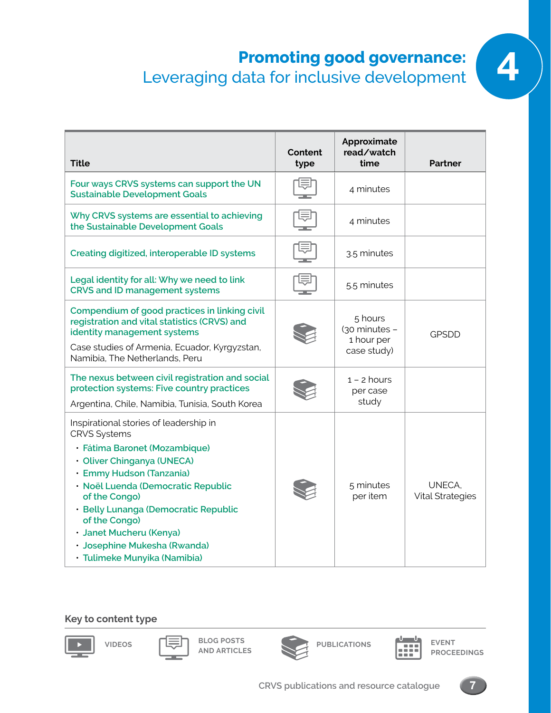# **Promoting good governance:**

| <b>Title</b>                                                                                                                                                                                                                                                                                                                                                        | Content<br>type | Approximate<br>read/watch<br>time                     | <b>Partner</b>                    |
|---------------------------------------------------------------------------------------------------------------------------------------------------------------------------------------------------------------------------------------------------------------------------------------------------------------------------------------------------------------------|-----------------|-------------------------------------------------------|-----------------------------------|
| Four ways CRVS systems can support the UN<br><b>Sustainable Development Goals</b>                                                                                                                                                                                                                                                                                   |                 | 4 minutes                                             |                                   |
| Why CRVS systems are essential to achieving<br>the Sustainable Development Goals                                                                                                                                                                                                                                                                                    |                 | 4 minutes                                             |                                   |
| Creating digitized, interoperable ID systems                                                                                                                                                                                                                                                                                                                        |                 | 3.5 minutes                                           |                                   |
| Legal identity for all: Why we need to link<br><b>CRVS and ID management systems</b>                                                                                                                                                                                                                                                                                |                 | 5.5 minutes                                           |                                   |
| Compendium of good practices in linking civil<br>registration and vital statistics (CRVS) and<br>identity management systems<br>Case studies of Armenia, Ecuador, Kyrgyzstan,<br>Namibia, The Netherlands, Peru                                                                                                                                                     |                 | 5 hours<br>(30 minutes -<br>1 hour per<br>case study) | <b>GPSDD</b>                      |
| The nexus between civil registration and social<br>protection systems: Five country practices<br>Argentina, Chile, Namibia, Tunisia, South Korea                                                                                                                                                                                                                    |                 | $1 - 2$ hours<br>per case<br>study                    |                                   |
| Inspirational stories of leadership in<br><b>CRVS Systems</b><br>· Fátima Baronet (Mozambique)<br>· Oliver Chinganya (UNECA)<br>· Emmy Hudson (Tanzania)<br>· Noël Luenda (Democratic Republic<br>of the Congo)<br>· Belly Lunanga (Democratic Republic<br>of the Congo)<br>· Janet Mucheru (Kenya)<br>· Josephine Mukesha (Rwanda)<br>· Tulimeke Munyika (Namibia) |                 | 5 minutes<br>per item                                 | UNECA.<br><b>Vital Strategies</b> |

#### **Key to content type**



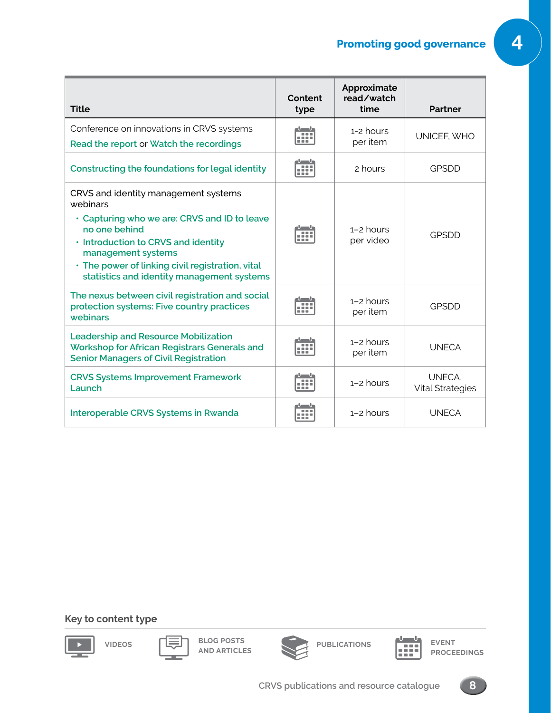| <b>Title</b>                                                                                                                                                                                                                                                                     | Content<br>type        | Approximate<br>read/watch<br>time | <b>Partner</b>                    |
|----------------------------------------------------------------------------------------------------------------------------------------------------------------------------------------------------------------------------------------------------------------------------------|------------------------|-----------------------------------|-----------------------------------|
| Conference on innovations in CRVS systems<br>Read the report or Watch the recordings                                                                                                                                                                                             | 0000<br>10 M H         | 1-2 hours<br>per item             | UNICEF, WHO                       |
| Constructing the foundations for legal identity                                                                                                                                                                                                                                  | <br>.                  | 2 hours                           | <b>GPSDD</b>                      |
| CRVS and identity management systems<br>webinars<br>• Capturing who we are: CRVS and ID to leave<br>no one behind<br>. Introduction to CRVS and identity<br>management systems<br>. The power of linking civil registration, vital<br>statistics and identity management systems |                        | $1 - 2$ hours<br>per video        | <b>GPSDD</b>                      |
| The nexus between civil registration and social<br>protection systems: Five country practices<br>webinars                                                                                                                                                                        | <b>COLOR</b>           | $1-2$ hours<br>per item           | <b>GPSDD</b>                      |
| <b>Leadership and Resource Mobilization</b><br>Workshop for African Registrars Generals and<br><b>Senior Managers of Civil Registration</b>                                                                                                                                      |                        | $1-2$ hours<br>per item           | <b>UNECA</b>                      |
| <b>CRVS Systems Improvement Framework</b><br>Launch                                                                                                                                                                                                                              | <b>DOC</b><br>.<br>--- | $1-2$ hours                       | UNECA,<br><b>Vital Strategies</b> |
| Interoperable CRVS Systems in Rwanda                                                                                                                                                                                                                                             |                        | $1-2$ hours                       | <b>UNFCA</b>                      |

#### **Key to content type**



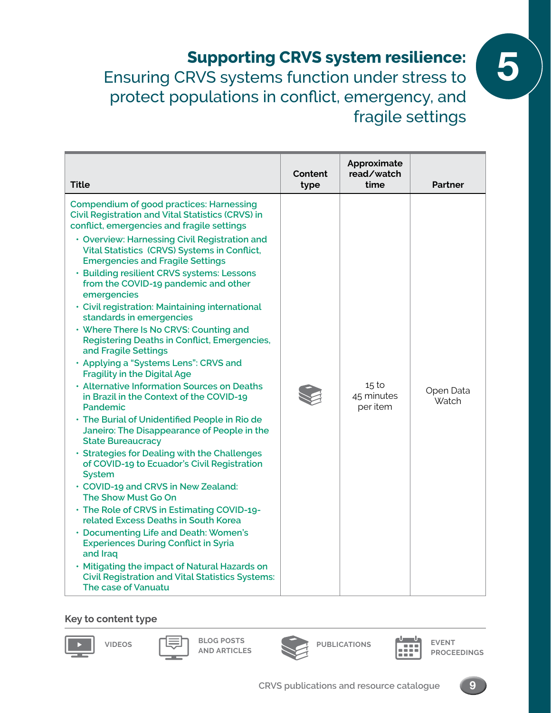5 **Supporting CRVS system resilience:**  Ensuring CRVS systems function under stress to protect populations in conflict, emergency, and fragile settings

| <b>Title</b>                                                                                                                                                                                                                                                                                                                                                                                                                                                                                                                                                                                                                                                                                                                                                                                                                                                                                                                                                                                                                                                                                                                                                                                                                                                                                                                                                                                                                                     | Content<br>type | Approximate<br>read/watch<br>time | Partner                   |
|--------------------------------------------------------------------------------------------------------------------------------------------------------------------------------------------------------------------------------------------------------------------------------------------------------------------------------------------------------------------------------------------------------------------------------------------------------------------------------------------------------------------------------------------------------------------------------------------------------------------------------------------------------------------------------------------------------------------------------------------------------------------------------------------------------------------------------------------------------------------------------------------------------------------------------------------------------------------------------------------------------------------------------------------------------------------------------------------------------------------------------------------------------------------------------------------------------------------------------------------------------------------------------------------------------------------------------------------------------------------------------------------------------------------------------------------------|-----------------|-----------------------------------|---------------------------|
| <b>Compendium of good practices: Harnessing</b><br><b>Civil Registration and Vital Statistics (CRVS) in</b><br>conflict, emergencies and fragile settings<br>• Overview: Harnessing Civil Registration and<br>Vital Statistics (CRVS) Systems in Conflict,<br><b>Emergencies and Fragile Settings</b><br>· Building resilient CRVS systems: Lessons<br>from the COVID-19 pandemic and other<br>emergencies<br>· Civil registration: Maintaining international<br>standards in emergencies<br>• Where There Is No CRVS: Counting and<br><b>Registering Deaths in Conflict, Emergencies,</b><br>and Fragile Settings<br>• Applying a "Systems Lens": CRVS and<br><b>Fragility in the Digital Age</b><br>• Alternative Information Sources on Deaths<br>in Brazil in the Context of the COVID-19<br>Pandemic<br>· The Burial of Unidentified People in Rio de<br>Janeiro: The Disappearance of People in the<br><b>State Bureaucracy</b><br>· Strategies for Dealing with the Challenges<br>of COVID-19 to Ecuador's Civil Registration<br><b>System</b><br>• COVID-19 and CRVS in New Zealand:<br>The Show Must Go On<br>• The Role of CRVS in Estimating COVID-19-<br>related Excess Deaths in South Korea<br>• Documenting Life and Death: Women's<br><b>Experiences During Conflict in Syria</b><br>and Iraq<br>. Mitigating the impact of Natural Hazards on<br><b>Civil Registration and Vital Statistics Systems:</b><br>The case of Vanuatu |                 | 15 to<br>45 minutes<br>per item   | Open Data<br><b>Watch</b> |

#### **Key to content type**





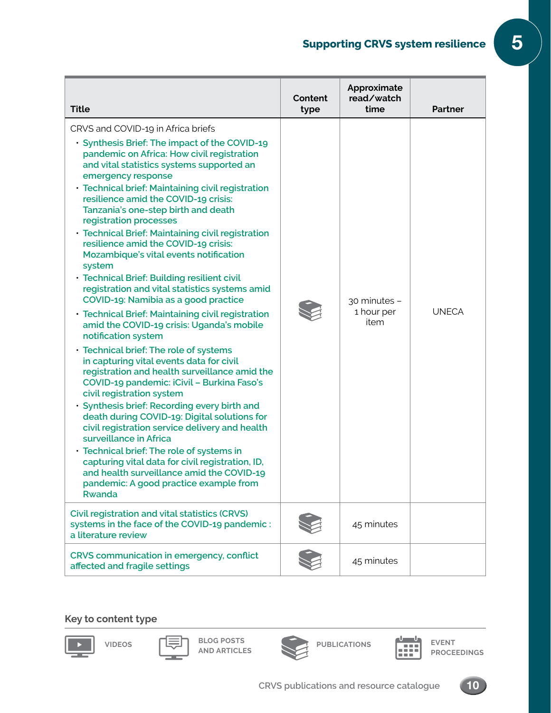## **Supporting CRVS system resilience** 5

| <b>Title</b>                                                                                                                                                                                                                                                                                                                                                                                                                                                                                                                                                                                                                                                                                                                                                                                                                                                                                                                                                                                                                                                                                                                                                                                                                                                                                                                                                                                 | Content<br>type | Approximate<br>read/watch<br>time  | <b>Partner</b> |
|----------------------------------------------------------------------------------------------------------------------------------------------------------------------------------------------------------------------------------------------------------------------------------------------------------------------------------------------------------------------------------------------------------------------------------------------------------------------------------------------------------------------------------------------------------------------------------------------------------------------------------------------------------------------------------------------------------------------------------------------------------------------------------------------------------------------------------------------------------------------------------------------------------------------------------------------------------------------------------------------------------------------------------------------------------------------------------------------------------------------------------------------------------------------------------------------------------------------------------------------------------------------------------------------------------------------------------------------------------------------------------------------|-----------------|------------------------------------|----------------|
| CRVS and COVID-19 in Africa briefs<br>· Synthesis Brief: The impact of the COVID-19<br>pandemic on Africa: How civil registration<br>and vital statistics systems supported an<br>emergency response<br>· Technical brief: Maintaining civil registration<br>resilience amid the COVID-19 crisis:<br>Tanzania's one-step birth and death<br>registration processes<br>· Technical Brief: Maintaining civil registration<br>resilience amid the COVID-19 crisis:<br>Mozambique's vital events notification<br>system<br>· Technical Brief: Building resilient civil<br>registration and vital statistics systems amid<br>COVID-19: Namibia as a good practice<br>· Technical Brief: Maintaining civil registration<br>amid the COVID-19 crisis: Uganda's mobile<br>notification system<br>· Technical brief: The role of systems<br>in capturing vital events data for civil<br>registration and health surveillance amid the<br>COVID-19 pandemic: iCivil - Burkina Faso's<br>civil registration system<br>· Synthesis brief: Recording every birth and<br>death during COVID-19: Digital solutions for<br>civil registration service delivery and health<br>surveillance in Africa<br>· Technical brief: The role of systems in<br>capturing vital data for civil registration, ID,<br>and health surveillance amid the COVID-19<br>pandemic: A good practice example from<br><b>Rwanda</b> |                 | 30 minutes -<br>1 hour per<br>item | <b>UNECA</b>   |
| <b>Civil registration and vital statistics (CRVS)</b><br>systems in the face of the COVID-19 pandemic:<br>a literature review                                                                                                                                                                                                                                                                                                                                                                                                                                                                                                                                                                                                                                                                                                                                                                                                                                                                                                                                                                                                                                                                                                                                                                                                                                                                |                 | 45 minutes                         |                |
| CRVS communication in emergency, conflict<br>affected and fragile settings                                                                                                                                                                                                                                                                                                                                                                                                                                                                                                                                                                                                                                                                                                                                                                                                                                                                                                                                                                                                                                                                                                                                                                                                                                                                                                                   |                 | 45 minutes                         |                |

#### **Key to content type**

т.



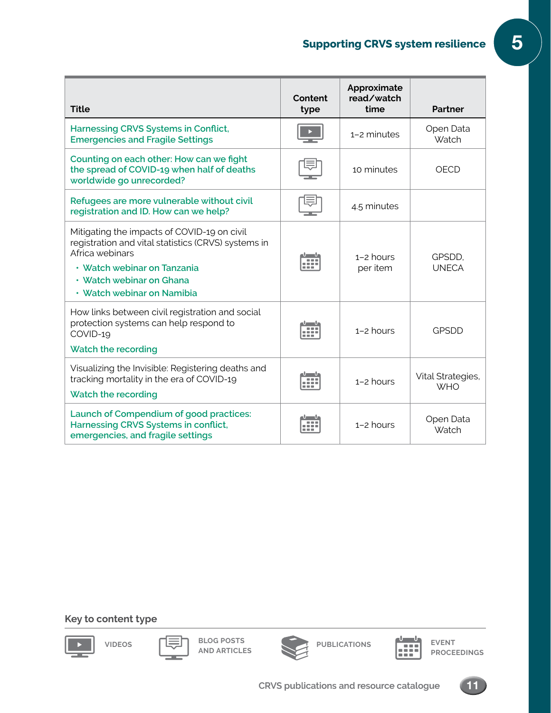## **Supporting CRVS system resilience** 5

| <b>Title</b>                                                                                                                                                                                                   | Content<br>type | Approximate<br>read/watch<br>time | Partner                         |
|----------------------------------------------------------------------------------------------------------------------------------------------------------------------------------------------------------------|-----------------|-----------------------------------|---------------------------------|
| <b>Harnessing CRVS Systems in Conflict,</b><br><b>Emergencies and Fragile Settings</b>                                                                                                                         |                 | 1-2 minutes                       | Open Data<br>Watch              |
| Counting on each other: How can we fight<br>the spread of COVID-19 when half of deaths<br>worldwide go unrecorded?                                                                                             |                 | 10 minutes                        | OECD                            |
| Refugees are more vulnerable without civil<br>registration and ID. How can we help?                                                                                                                            |                 | 4.5 minutes                       |                                 |
| Mitigating the impacts of COVID-19 on civil<br>registration and vital statistics (CRVS) systems in<br>Africa webinars<br>• Watch webinar on Tanzania<br>• Watch webinar on Ghana<br>• Watch webinar on Namibia |                 | $1-2$ hours<br>per item           | GPSDD.<br><b>UNECA</b>          |
| How links between civil registration and social<br>protection systems can help respond to<br>COVID-19<br>Watch the recording                                                                                   |                 | $1-2$ hours                       | GPSDD                           |
| Visualizing the Invisible: Registering deaths and<br>tracking mortality in the era of COVID-19<br>Watch the recording                                                                                          |                 | $1-2$ hours                       | Vital Strategies,<br><b>WHO</b> |
| Launch of Compendium of good practices:<br>Harnessing CRVS Systems in conflict,<br>emergencies, and fragile settings                                                                                           |                 | $1-2$ hours                       | Open Data<br>Watch              |

#### **Key to content type**

т.